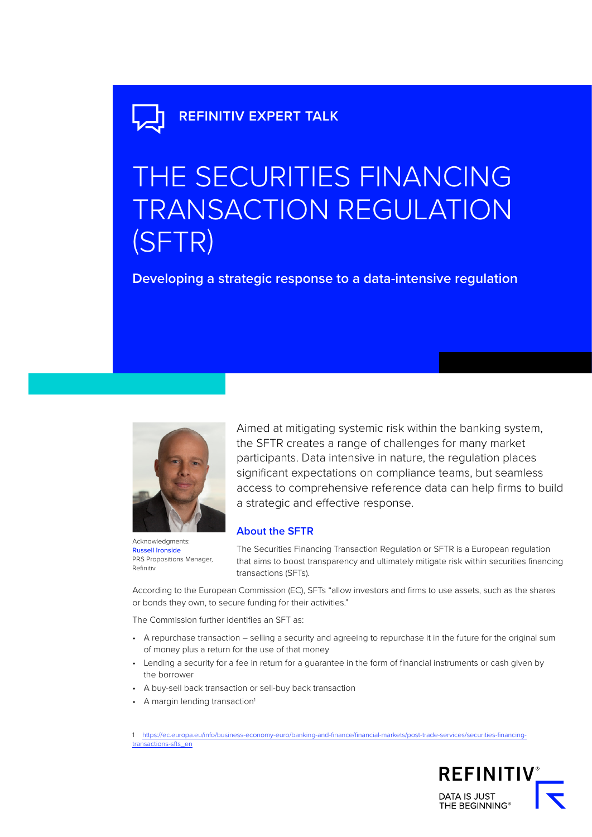# THE SECURITIES FINANCING TRANSACTION REGULATION (SFTR)

**Developing a strategic response to a data-intensive regulation**



Acknowledgments: Russell Ironside PRS Propositions Manager, Refinitiv

Aimed at mitigating systemic risk within the banking system, the SFTR creates a range of challenges for many market participants. Data intensive in nature, the regulation places significant expectations on compliance teams, but seamless access to comprehensive reference data can help firms to build a strategic and effective response.

# **About the SFTR**

The Securities Financing Transaction Regulation or SFTR is a European regulation that aims to boost transparency and ultimately mitigate risk within securities financing transactions (SFTs).

According to the European Commission (EC), SFTs "allow investors and firms to use assets, such as the shares or bonds they own, to secure funding for their activities."

The Commission further identifies an SFT as:

- A repurchase transaction selling a security and agreeing to repurchase it in the future for the original sum of money plus a return for the use of that money
- Lending a security for a fee in return for a guarantee in the form of financial instruments or cash given by the borrower
- A buy-sell back transaction or sell-buy back transaction
- A margin lending transaction<sup>1</sup>

1 [https://ec.europa.eu/info/business-economy-euro/banking-and-finance/financial-markets/post-trade-services/securities-financing](https://ec.europa.eu/info/business-economy-euro/banking-and-finance/financial-markets/post-trade-services/securities-financing-transactions-sfts_en)[transactions-sfts\\_en](https://ec.europa.eu/info/business-economy-euro/banking-and-finance/financial-markets/post-trade-services/securities-financing-transactions-sfts_en)

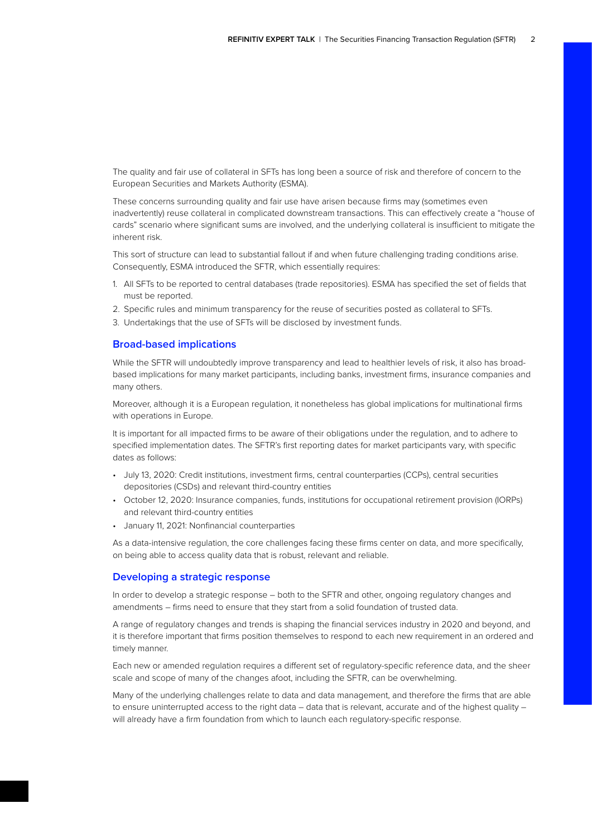The quality and fair use of collateral in SFTs has long been a source of risk and therefore of concern to the European Securities and Markets Authority (ESMA).

These concerns surrounding quality and fair use have arisen because firms may (sometimes even inadvertently) reuse collateral in complicated downstream transactions. This can effectively create a "house of cards" scenario where significant sums are involved, and the underlying collateral is insufficient to mitigate the inherent risk.

This sort of structure can lead to substantial fallout if and when future challenging trading conditions arise. Consequently, ESMA introduced the SFTR, which essentially requires:

- 1. All SFTs to be reported to central databases (trade repositories). ESMA has specified the set of fields that must be reported.
- 2. Specific rules and minimum transparency for the reuse of securities posted as collateral to SFTs.
- 3. Undertakings that the use of SFTs will be disclosed by investment funds.

## **Broad-based implications**

While the SFTR will undoubtedly improve transparency and lead to healthier levels of risk, it also has broadbased implications for many market participants, including banks, investment firms, insurance companies and many others.

Moreover, although it is a European regulation, it nonetheless has global implications for multinational firms with operations in Europe.

It is important for all impacted firms to be aware of their obligations under the regulation, and to adhere to specified implementation dates. The SFTR's first reporting dates for market participants vary, with specific dates as follows:

- July 13, 2020: Credit institutions, investment firms, central counterparties (CCPs), central securities depositories (CSDs) and relevant third-country entities
- October 12, 2020: Insurance companies, funds, institutions for occupational retirement provision (IORPs) and relevant third-country entities
- January 11, 2021: Nonfinancial counterparties

As a data-intensive regulation, the core challenges facing these firms center on data, and more specifically, on being able to access quality data that is robust, relevant and reliable.

#### **Developing a strategic response**

In order to develop a strategic response – both to the SFTR and other, ongoing regulatory changes and amendments – firms need to ensure that they start from a solid foundation of trusted data.

A range of regulatory changes and trends is shaping the financial services industry in 2020 and beyond, and it is therefore important that firms position themselves to respond to each new requirement in an ordered and timely manner.

Each new or amended regulation requires a different set of regulatory-specific reference data, and the sheer scale and scope of many of the changes afoot, including the SFTR, can be overwhelming.

Many of the underlying challenges relate to data and data management, and therefore the firms that are able to ensure uninterrupted access to the right data – data that is relevant, accurate and of the highest quality – will already have a firm foundation from which to launch each regulatory-specific response.